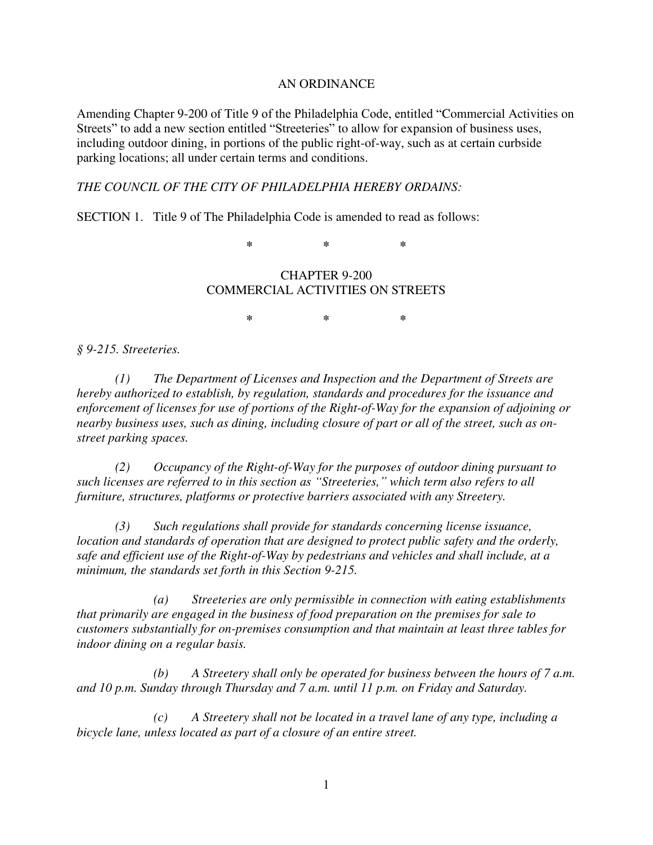## AN ORDINANCE

Amending Chapter 9-200 of Title 9 of the Philadelphia Code, entitled "Commercial Activities on Streets" to add a new section entitled "Streeteries" to allow for expansion of business uses, including outdoor dining, in portions of the public right-of-way, such as at certain curbside parking locations; all under certain terms and conditions.

## *THE COUNCIL OF THE CITY OF PHILADELPHIA HEREBY ORDAINS:*

SECTION 1. Title 9 of The Philadelphia Code is amended to read as follows:

**\* \* \*** 

## CHAPTER 9-200 COMMERCIAL ACTIVITIES ON STREETS

**\* \* \*** 

*§ 9-215. Streeteries.* 

 *(1) The Department of Licenses and Inspection and the Department of Streets are hereby authorized to establish, by regulation, standards and procedures for the issuance and enforcement of licenses for use of portions of the Right-of-Way for the expansion of adjoining or nearby business uses, such as dining, including closure of part or all of the street, such as onstreet parking spaces.* 

*(2) Occupancy of the Right-of-Way for the purposes of outdoor dining pursuant to such licenses are referred to in this section as "Streeteries," which term also refers to all furniture, structures, platforms or protective barriers associated with any Streetery.* 

*(3) Such regulations shall provide for standards concerning license issuance, location and standards of operation that are designed to protect public safety and the orderly, safe and efficient use of the Right-of-Way by pedestrians and vehicles and shall include, at a minimum, the standards set forth in this Section 9-215.* 

 *(a) Streeteries are only permissible in connection with eating establishments that primarily are engaged in the business of food preparation on the premises for sale to customers substantially for on-premises consumption and that maintain at least three tables for indoor dining on a regular basis.* 

 *(b) A Streetery shall only be operated for business between the hours of 7 a.m. and 10 p.m. Sunday through Thursday and 7 a.m. until 11 p.m. on Friday and Saturday.* 

 *(c) A Streetery shall not be located in a travel lane of any type, including a bicycle lane, unless located as part of a closure of an entire street.*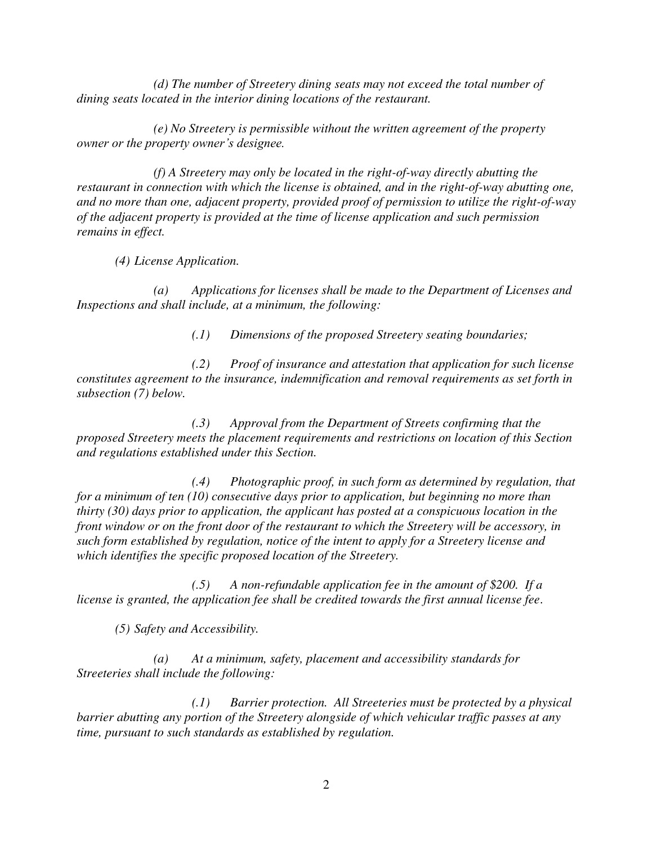*(d) The number of Streetery dining seats may not exceed the total number of dining seats located in the interior dining locations of the restaurant.* 

 *(e) No Streetery is permissible without the written agreement of the property owner or the property owner's designee.* 

 *(f) A Streetery may only be located in the right-of-way directly abutting the restaurant in connection with which the license is obtained, and in the right-of-way abutting one, and no more than one, adjacent property, provided proof of permission to utilize the right-of-way of the adjacent property is provided at the time of license application and such permission remains in effect.* 

*(4) License Application.* 

 *(a) Applications for licenses shall be made to the Department of Licenses and Inspections and shall include, at a minimum, the following:* 

*(.1) Dimensions of the proposed Streetery seating boundaries;* 

 *(.2) Proof of insurance and attestation that application for such license constitutes agreement to the insurance, indemnification and removal requirements as set forth in subsection (7) below.* 

 *(.3) Approval from the Department of Streets confirming that the proposed Streetery meets the placement requirements and restrictions on location of this Section and regulations established under this Section.* 

 *(.4) Photographic proof, in such form as determined by regulation, that for a minimum of ten (10) consecutive days prior to application, but beginning no more than thirty (30) days prior to application, the applicant has posted at a conspicuous location in the front window or on the front door of the restaurant to which the Streetery will be accessory, in such form established by regulation, notice of the intent to apply for a Streetery license and which identifies the specific proposed location of the Streetery.* 

 *(.5) A non-refundable application fee in the amount of \$200. If a license is granted, the application fee shall be credited towards the first annual license fee*.

*(5) Safety and Accessibility.* 

 *(a) At a minimum, safety, placement and accessibility standards for Streeteries shall include the following:* 

 *(.1) Barrier protection. All Streeteries must be protected by a physical barrier abutting any portion of the Streetery alongside of which vehicular traffic passes at any time, pursuant to such standards as established by regulation.*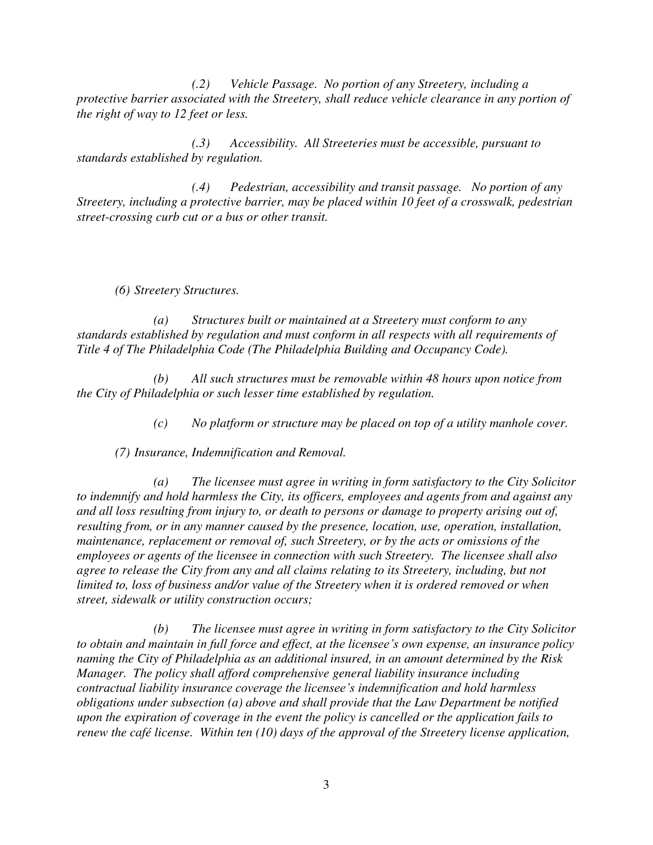*(.2) Vehicle Passage. No portion of any Streetery, including a protective barrier associated with the Streetery, shall reduce vehicle clearance in any portion of the right of way to 12 feet or less.* 

 *(.3) Accessibility. All Streeteries must be accessible, pursuant to standards established by regulation.* 

 *(.4) Pedestrian, accessibility and transit passage. No portion of any Streetery, including a protective barrier, may be placed within 10 feet of a crosswalk, pedestrian street-crossing curb cut or a bus or other transit.* 

*(6) Streetery Structures.* 

 *(a) Structures built or maintained at a Streetery must conform to any standards established by regulation and must conform in all respects with all requirements of Title 4 of The Philadelphia Code (The Philadelphia Building and Occupancy Code).* 

 *(b) All such structures must be removable within 48 hours upon notice from the City of Philadelphia or such lesser time established by regulation.* 

*(c) No platform or structure may be placed on top of a utility manhole cover.* 

*(7) Insurance, Indemnification and Removal.* 

 *(a) The licensee must agree in writing in form satisfactory to the City Solicitor to indemnify and hold harmless the City, its officers, employees and agents from and against any and all loss resulting from injury to, or death to persons or damage to property arising out of, resulting from, or in any manner caused by the presence, location, use, operation, installation, maintenance, replacement or removal of, such Streetery, or by the acts or omissions of the employees or agents of the licensee in connection with such Streetery. The licensee shall also agree to release the City from any and all claims relating to its Streetery, including, but not limited to, loss of business and/or value of the Streetery when it is ordered removed or when street, sidewalk or utility construction occurs;* 

 *(b) The licensee must agree in writing in form satisfactory to the City Solicitor to obtain and maintain in full force and effect, at the licensee's own expense, an insurance policy naming the City of Philadelphia as an additional insured, in an amount determined by the Risk Manager. The policy shall afford comprehensive general liability insurance including contractual liability insurance coverage the licensee's indemnification and hold harmless obligations under subsection (a) above and shall provide that the Law Department be notified upon the expiration of coverage in the event the policy is cancelled or the application fails to renew the café license. Within ten (10) days of the approval of the Streetery license application,*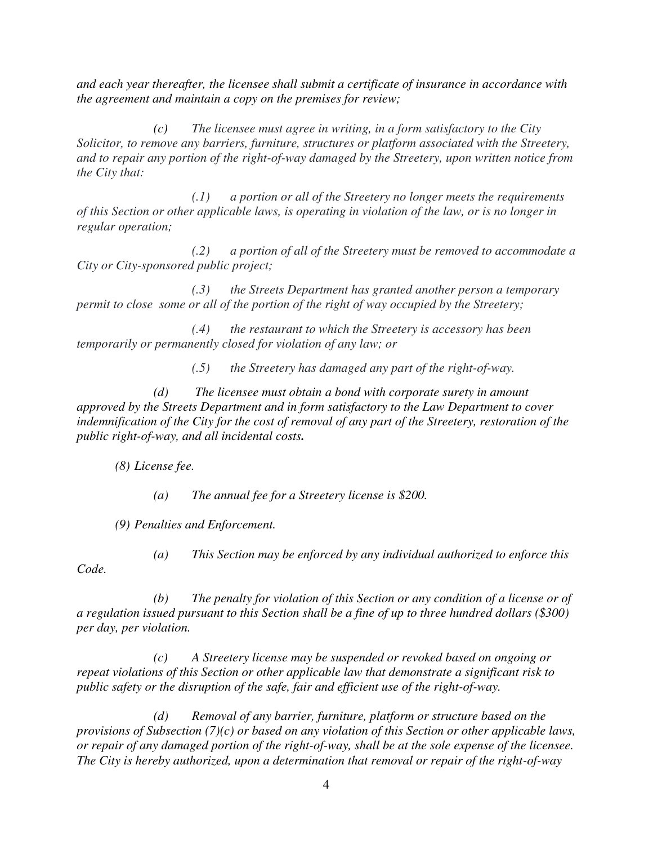*and each year thereafter, the licensee shall submit a certificate of insurance in accordance with the agreement and maintain a copy on the premises for review;* 

 *(c) The licensee must agree in writing, in a form satisfactory to the City Solicitor, to remove any barriers, furniture, structures or platform associated with the Streetery, and to repair any portion of the right-of-way damaged by the Streetery, upon written notice from the City that:* 

 *(.1) a portion or all of the Streetery no longer meets the requirements of this Section or other applicable laws, is operating in violation of the law, or is no longer in regular operation;* 

 *(.2) a portion of all of the Streetery must be removed to accommodate a City or City-sponsored public project;* 

 *(.3) the Streets Department has granted another person a temporary permit to close some or all of the portion of the right of way occupied by the Streetery;* 

 *(.4) the restaurant to which the Streetery is accessory has been temporarily or permanently closed for violation of any law; or* 

 *(.5) the Streetery has damaged any part of the right-of-way.* 

 *(d) The licensee must obtain a bond with corporate surety in amount approved by the Streets Department and in form satisfactory to the Law Department to cover indemnification of the City for the cost of removal of any part of the Streetery, restoration of the public right-of-way, and all incidental costs.*

*(8) License fee.* 

 *(a) The annual fee for a Streetery license is \$200.* 

*(9) Penalties and Enforcement.* 

 *(a) This Section may be enforced by any individual authorized to enforce this* 

*Code.* 

 *(b) The penalty for violation of this Section or any condition of a license or of a regulation issued pursuant to this Section shall be a fine of up to three hundred dollars (\$300) per day, per violation.* 

 *(c) A Streetery license may be suspended or revoked based on ongoing or repeat violations of this Section or other applicable law that demonstrate a significant risk to public safety or the disruption of the safe, fair and efficient use of the right-of-way.* 

 *(d) Removal of any barrier, furniture, platform or structure based on the provisions of Subsection (7)(c) or based on any violation of this Section or other applicable laws, or repair of any damaged portion of the right-of-way, shall be at the sole expense of the licensee. The City is hereby authorized, upon a determination that removal or repair of the right-of-way*